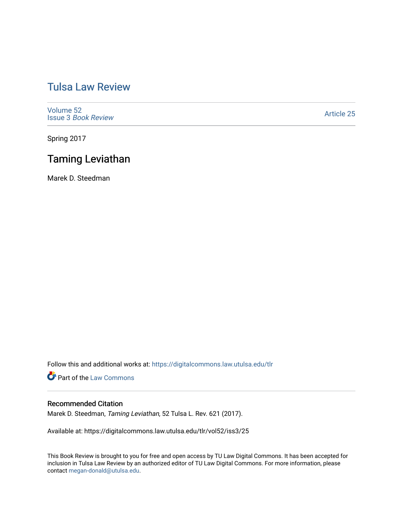# [Tulsa Law Review](https://digitalcommons.law.utulsa.edu/tlr)

[Volume 52](https://digitalcommons.law.utulsa.edu/tlr/vol52) Issue 3 [Book Review](https://digitalcommons.law.utulsa.edu/tlr/vol52/iss3)

[Article 25](https://digitalcommons.law.utulsa.edu/tlr/vol52/iss3/25) 

Spring 2017

# Taming Leviathan

Marek D. Steedman

Follow this and additional works at: [https://digitalcommons.law.utulsa.edu/tlr](https://digitalcommons.law.utulsa.edu/tlr?utm_source=digitalcommons.law.utulsa.edu%2Ftlr%2Fvol52%2Fiss3%2F25&utm_medium=PDF&utm_campaign=PDFCoverPages) 

**Part of the [Law Commons](http://network.bepress.com/hgg/discipline/578?utm_source=digitalcommons.law.utulsa.edu%2Ftlr%2Fvol52%2Fiss3%2F25&utm_medium=PDF&utm_campaign=PDFCoverPages)** 

### Recommended Citation

Marek D. Steedman, Taming Leviathan, 52 Tulsa L. Rev. 621 (2017).

Available at: https://digitalcommons.law.utulsa.edu/tlr/vol52/iss3/25

This Book Review is brought to you for free and open access by TU Law Digital Commons. It has been accepted for inclusion in Tulsa Law Review by an authorized editor of TU Law Digital Commons. For more information, please contact [megan-donald@utulsa.edu.](mailto:megan-donald@utulsa.edu)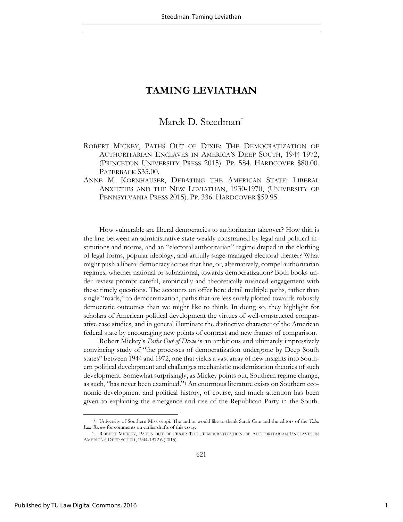## Marek D. Steedman<sup>\*</sup>

- ROBERT MICKEY, PATHS OUT OF DIXIE: THE DEMOCRATIZATION OF AUTHORITARIAN ENCLAVES IN AMERICA'S DEEP SOUTH, 1944-1972, (PRINCETON UNIVERSITY PRESS 2015). PP. 584. HARDCOVER \$80.00. PAPERBACK \$35.00.
- ANNE M. KORNHAUSER, DEBATING THE AMERICAN STATE: LIBERAL ANXIETIES AND THE NEW LEVIATHAN, 1930-1970, (UNIVERSITY OF PENNSYLVANIA PRESS 2015). PP. 336. HARDCOVER \$59.95.

How vulnerable are liberal democracies to authoritarian takeover? How thin is the line between an administrative state weakly constrained by legal and political institutions and norms, and an "electoral authoritarian" regime draped in the clothing of legal forms, popular ideology, and artfully stage-managed electoral theater? What might push a liberal democracy across that line, or, alternatively, compel authoritarian regimes, whether national or subnational, towards democratization? Both books under review prompt careful, empirically and theoretically nuanced engagement with these timely questions. The accounts on offer here detail multiple paths, rather than single "roads," to democratization, paths that are less surely plotted towards robustly democratic outcomes than we might like to think. In doing so, they highlight for scholars of American political development the virtues of well-constructed comparative case studies, and in general illuminate the distinctive character of the American federal state by encouraging new points of contrast and new frames of comparison.

Robert Mickey's *Paths Out of Dixie* is an ambitious and ultimately impressively convincing study of "the processes of democratization undergone by Deep South states" between 1944 and 1972, one that yields a vast array of new insights into Southern political development and challenges mechanistic modernization theories of such development. Somewhat surprisingly, as Mickey points out, Southern regime change, as such, "has never been examined." 1 An enormous literature exists on Southern economic development and political history, of course, and much attention has been given to explaining the emergence and rise of the Republican Party in the South.

 <sup>\*</sup> University of Southern Mississippi. The author would like to thank Sarah Cate and the editors of the *Tulsa Law Review* for comments on earlier drafts of this essay.

<sup>1.</sup> ROBERT MICKEY, PATHS OUT OF DIXIE: THE DEMOCRATIZATION OF AUTHORITARIAN ENCLAVES IN AMERICA'S DEEP SOUTH, 1944-1972 6 (2015).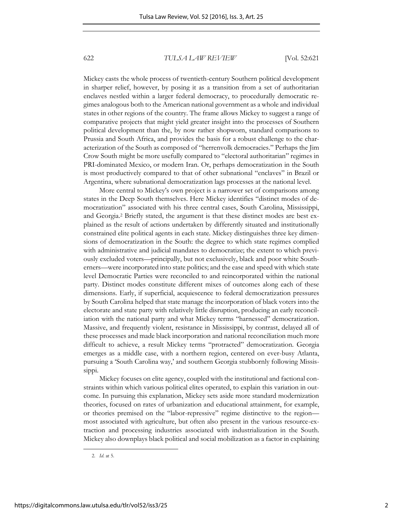Mickey casts the whole process of twentieth-century Southern political development in sharper relief, however, by posing it as a transition from a set of authoritarian enclaves nestled within a larger federal democracy, to procedurally democratic regimes analogous both to the American national government as a whole and individual states in other regions of the country. The frame allows Mickey to suggest a range of comparative projects that might yield greater insight into the processes of Southern political development than the, by now rather shopworn, standard comparisons to Prussia and South Africa, and provides the basis for a robust challenge to the characterization of the South as composed of "herrenvolk democracies." Perhaps the Jim Crow South might be more usefully compared to "electoral authoritarian" regimes in PRI-dominated Mexico, or modern Iran. Or, perhaps democratization in the South is most productively compared to that of other subnational "enclaves" in Brazil or Argentina, where subnational democratization lags processes at the national level.

More central to Mickey's own project is a narrower set of comparisons among states in the Deep South themselves. Here Mickey identifies "distinct modes of democratization" associated with his three central cases, South Carolina, Mississippi, and Georgia.<sup>2</sup> Briefly stated, the argument is that these distinct modes are best explained as the result of actions undertaken by differently situated and institutionally constrained elite political agents in each state. Mickey distinguishes three key dimensions of democratization in the South: the degree to which state regimes complied with administrative and judicial mandates to democratize; the extent to which previously excluded voters—principally, but not exclusively, black and poor white Southerners—were incorporated into state politics; and the ease and speed with which state level Democratic Parties were reconciled to and reincorporated within the national party. Distinct modes constitute different mixes of outcomes along each of these dimensions. Early, if superficial, acquiescence to federal democratization pressures by South Carolina helped that state manage the incorporation of black voters into the electorate and state party with relatively little disruption, producing an early reconciliation with the national party and what Mickey terms "harnessed" democratization. Massive, and frequently violent, resistance in Mississippi, by contrast, delayed all of these processes and made black incorporation and national reconciliation much more difficult to achieve, a result Mickey terms "protracted" democratization. Georgia emerges as a middle case, with a northern region, centered on ever-busy Atlanta, pursuing a 'South Carolina way,' and southern Georgia stubbornly following Mississippi.

Mickey focuses on elite agency, coupled with the institutional and factional constraints within which various political elites operated, to explain this variation in outcome. In pursuing this explanation, Mickey sets aside more standard modernization theories, focused on rates of urbanization and educational attainment, for example, or theories premised on the "labor-repressive" regime distinctive to the region most associated with agriculture, but often also present in the various resource-extraction and processing industries associated with industrialization in the South. Mickey also downplays black political and social mobilization as a factor in explaining

2. *Id*. at 5.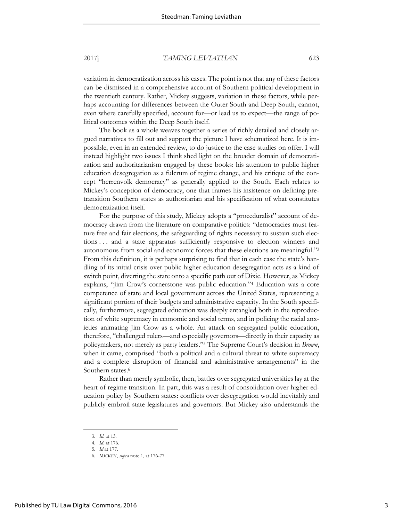variation in democratization across his cases. The point is not that any of these factors can be dismissed in a comprehensive account of Southern political development in the twentieth century. Rather, Mickey suggests, variation in these factors, while perhaps accounting for differences between the Outer South and Deep South, cannot, even where carefully specified, account for—or lead us to expect—the range of political outcomes within the Deep South itself.

The book as a whole weaves together a series of richly detailed and closely argued narratives to fill out and support the picture I have schematized here. It is impossible, even in an extended review, to do justice to the case studies on offer. I will instead highlight two issues I think shed light on the broader domain of democratization and authoritarianism engaged by these books: his attention to public higher education desegregation as a fulcrum of regime change, and his critique of the concept "herrenvolk democracy" as generally applied to the South. Each relates to Mickey's conception of democracy, one that frames his insistence on defining pretransition Southern states as authoritarian and his specification of what constitutes democratization itself.

For the purpose of this study, Mickey adopts a "proceduralist" account of democracy drawn from the literature on comparative politics: "democracies must feature free and fair elections, the safeguarding of rights necessary to sustain such elections . . . and a state apparatus sufficiently responsive to election winners and autonomous from social and economic forces that these elections are meaningful." 3 From this definition, it is perhaps surprising to find that in each case the state's handling of its initial crisis over public higher education desegregation acts as a kind of switch point, diverting the state onto a specific path out of Dixie. However, as Mickey explains, "Jim Crow's cornerstone was public education." 4 Education was a core competence of state and local government across the United States, representing a significant portion of their budgets and administrative capacity. In the South specifically, furthermore, segregated education was deeply entangled both in the reproduction of white supremacy in economic and social terms, and in policing the racial anxieties animating Jim Crow as a whole. An attack on segregated public education, therefore, "challenged rulers—and especially governors—directly in their capacity as policymakers, not merely as party leaders." <sup>5</sup> The Supreme Court's decision in *Brown*, when it came, comprised "both a political and a cultural threat to white supremacy and a complete disruption of financial and administrative arrangements" in the Southern states.<sup>6</sup>

Rather than merely symbolic, then, battles over segregated universities lay at the heart of regime transition. In part, this was a result of consolidation over higher education policy by Southern states: conflicts over desegregation would inevitably and publicly embroil state legislatures and governors. But Mickey also understands the

<sup>3.</sup> *Id*. at 13.

<sup>4.</sup> *Id*. at 176.

<sup>5.</sup> *Id* at 177.

<sup>6.</sup> MICKEY, *supra* note 1, at 176-77.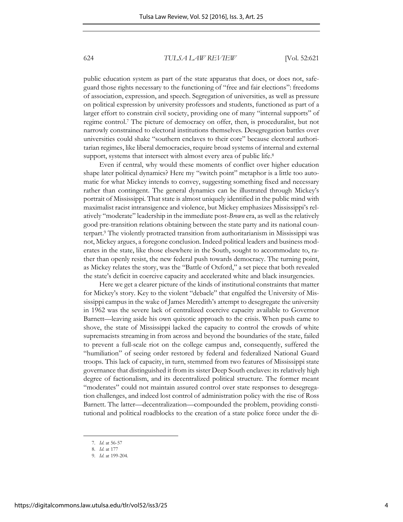public education system as part of the state apparatus that does, or does not, safeguard those rights necessary to the functioning of "free and fair elections": freedoms of association, expression, and speech. Segregation of universities, as well as pressure on political expression by university professors and students, functioned as part of a larger effort to constrain civil society, providing one of many "internal supports" of regime control.<sup>7</sup> The picture of democracy on offer, then, is proceduralist, but not narrowly constrained to electoral institutions themselves. Desegregation battles over universities could shake "southern enclaves to their core" because electoral authoritarian regimes, like liberal democracies, require broad systems of internal and external support, systems that intersect with almost every area of public life.<sup>8</sup>

Even if central, why would these moments of conflict over higher education shape later political dynamics? Here my "switch point" metaphor is a little too automatic for what Mickey intends to convey, suggesting something fixed and necessary rather than contingent. The general dynamics can be illustrated through Mickey's portrait of Mississippi. That state is almost uniquely identified in the public mind with maximalist racist intransigence and violence, but Mickey emphasizes Mississippi's relatively "moderate" leadership in the immediate post-*Brown* era, as well as the relatively good pre-transition relations obtaining between the state party and its national counterpart.<sup>9</sup> The violently protracted transition from authoritarianism in Mississippi was not, Mickey argues, a foregone conclusion. Indeed political leaders and business moderates in the state, like those elsewhere in the South, sought to accommodate to, rather than openly resist, the new federal push towards democracy. The turning point, as Mickey relates the story, was the "Battle of Oxford," a set piece that both revealed the state's deficit in coercive capacity and accelerated white and black insurgencies.

Here we get a clearer picture of the kinds of institutional constraints that matter for Mickey's story. Key to the violent "debacle" that engulfed the University of Mississippi campus in the wake of James Meredith's attempt to desegregate the university in 1962 was the severe lack of centralized coercive capacity available to Governor Barnett—leaving aside his own quixotic approach to the crisis. When push came to shove, the state of Mississippi lacked the capacity to control the crowds of white supremacists streaming in from across and beyond the boundaries of the state, failed to prevent a full-scale riot on the college campus and, consequently, suffered the "humiliation" of seeing order restored by federal and federalized National Guard troops. This lack of capacity, in turn, stemmed from two features of Mississippi state governance that distinguished it from its sister Deep South enclaves: its relatively high degree of factionalism, and its decentralized political structure. The former meant "moderates" could not maintain assured control over state responses to desegregation challenges, and indeed lost control of administration policy with the rise of Ross Barnett. The latter—decentralization—compounded the problem, providing constitutional and political roadblocks to the creation of a state police force under the di-

<sup>7.</sup> *Id*. at 56-57

<sup>8.</sup> *Id*. at 177

<sup>9.</sup> *Id*. at 199-204.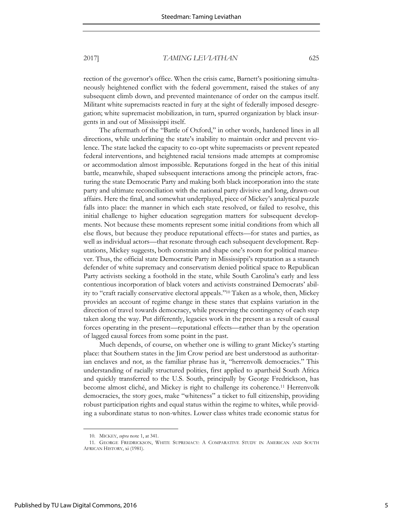rection of the governor's office. When the crisis came, Barnett's positioning simultaneously heightened conflict with the federal government, raised the stakes of any subsequent climb down, and prevented maintenance of order on the campus itself. Militant white supremacists reacted in fury at the sight of federally imposed desegregation; white supremacist mobilization, in turn, spurred organization by black insurgents in and out of Mississippi itself.

The aftermath of the "Battle of Oxford," in other words, hardened lines in all directions, while underlining the state's inability to maintain order and prevent violence. The state lacked the capacity to co-opt white supremacists or prevent repeated federal interventions, and heightened racial tensions made attempts at compromise or accommodation almost impossible. Reputations forged in the heat of this initial battle, meanwhile, shaped subsequent interactions among the principle actors, fracturing the state Democratic Party and making both black incorporation into the state party and ultimate reconciliation with the national party divisive and long, drawn-out affairs. Here the final, and somewhat underplayed, piece of Mickey's analytical puzzle falls into place: the manner in which each state resolved, or failed to resolve, this initial challenge to higher education segregation matters for subsequent developments. Not because these moments represent some initial conditions from which all else flows, but because they produce reputational effects—for states and parties, as well as individual actors—that resonate through each subsequent development. Reputations, Mickey suggests, both constrain and shape one's room for political maneuver. Thus, the official state Democratic Party in Mississippi's reputation as a staunch defender of white supremacy and conservatism denied political space to Republican Party activists seeking a foothold in the state, while South Carolina's early and less contentious incorporation of black voters and activists constrained Democrats' ability to "craft racially conservative electoral appeals." <sup>10</sup> Taken as a whole, then, Mickey provides an account of regime change in these states that explains variation in the direction of travel towards democracy, while preserving the contingency of each step taken along the way. Put differently, legacies work in the present as a result of causal forces operating in the present—reputational effects—rather than by the operation of lagged causal forces from some point in the past.

Much depends, of course, on whether one is willing to grant Mickey's starting place: that Southern states in the Jim Crow period are best understood as authoritarian enclaves and not, as the familiar phrase has it, "herrenvolk democracies." This understanding of racially structured polities, first applied to apartheid South Africa and quickly transferred to the U.S. South, principally by George Fredrickson, has become almost cliché, and Mickey is right to challenge its coherence.11 Herrenvolk democracies, the story goes, make "whiteness" a ticket to full citizenship, providing robust participation rights and equal status within the regime to whites, while providing a subordinate status to non-whites. Lower class whites trade economic status for

<sup>10.</sup> MICKEY, *supra* note 1, at 341.

<sup>11.</sup> GEORGE FREDRICKSON, WHITE SUPREMACY: A COMPARATIVE STUDY IN AMERICAN AND SOUTH AFRICAN HISTORY, xi (1981).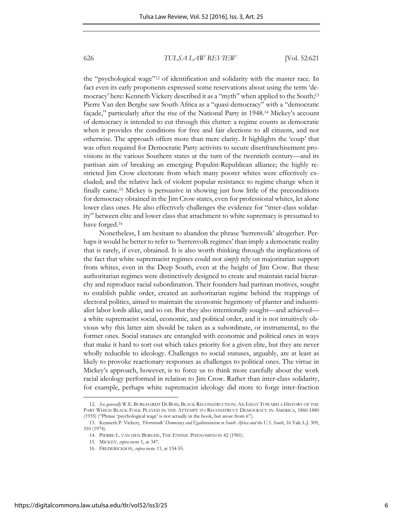the "psychological wage"12 of identification and solidarity with the master race. In fact even its early proponents expressed some reservations about using the term 'democracy' here: Kenneth Vickery described it as a "myth" when applied to the South; 13 Pierre Van den Berghe saw South Africa as a "quasi democracy" with a "democratic façade," particularly after the rise of the National Party in 1948.<sup>14</sup> Mickey's account of democracy is intended to cut through this clutter: a regime counts as democratic when it provides the conditions for free and fair elections to all citizens, and not otherwise. The approach offers more than mere clarity. It highlights the 'coup' that was often required for Democratic Party activists to secure disenfranchisement provisions in the various Southern states at the turn of the twentieth century—and its partisan aim of breaking an emerging Populist-Republican alliance; the highly restricted Jim Crow electorate from which many poorer whites were effectively excluded; and the relative lack of violent popular resistance to regime change when it finally came.15 Mickey is persuasive in showing just how little of the preconditions for democracy obtained in the Jim Crow states, even for professional whites, let alone lower class ones. He also effectively challenges the evidence for "inter-class solidarity" between elite and lower class that attachment to white supremacy is presumed to have forged.<sup>16</sup>

Nonetheless, I am hesitant to abandon the phrase 'herrenvolk' altogether. Perhaps it would be better to refer to 'herrenvolk regimes' than imply a democratic reality that is rarely, if ever, obtained. It is also worth thinking through the implications of the fact that white supremacist regimes could not *simply* rely on majoritarian support from whites, even in the Deep South, even at the height of Jim Crow. But these authoritarian regimes were distinctively designed to create and maintain racial hierarchy and reproduce racial subordination. Their founders had partisan motives, sought to establish public order, created an authoritarian regime behind the trappings of electoral politics, aimed to maintain the economic hegemony of planter and industrialist labor lords alike, and so on. But they also intentionally sought—and achieved a white supremacist social, economic, and political order, and it is not intuitively obvious why this latter aim should be taken as a subordinate, or instrumental, to the former ones. Social statuses are entangled with economic and political ones in ways that make it hard to sort out which takes priority for a given elite, but they are never wholly reducible to ideology. Challenges to social statuses, arguably, are at least as likely to provoke reactionary responses as challenges to political ones. The virtue in Mickey's approach, however, is to force us to think more carefully about the work racial ideology performed in relation to Jim Crow. Rather than inter-class solidarity, for example, perhaps white supremacist ideology did more to forge inter-fraction

<sup>12.</sup> *See generally* W.E. BURGHARDT DUBOIS, BLACK RECONSTRUCTION: AN ESSAY TOWARD A HISTORY OF THE PART WHICH BLACK FOLK PLAYED IN THE ATTEMPT TO RECONSTRUCT DEMOCRACY IN AMERICA, 1860-1880 (1935) ("Phrase 'psychological wage' is not actually in the book, but arose from it").

<sup>13.</sup> Kenneth P. Vickery, *'Herrenvolk' Democracy and Egalitarianism in South Africa and the U.S. South*, 16 Yale L.J. 309, 310 (1974).

<sup>14.</sup> PIERRE L. VAN DEN BERGHE, THE ETHNIC PHENOMENON 82 (1981).

<sup>15.</sup> MICKEY, *supra* note 1, at 347.

<sup>16.</sup> FREDERICKSON, *supra* note 11, at 154-55.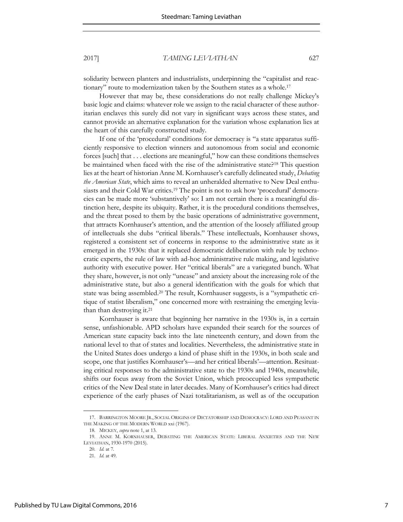solidarity between planters and industrialists, underpinning the "capitalist and reactionary" route to modernization taken by the Southern states as a whole.<sup>17</sup>

However that may be, these considerations do not really challenge Mickey's basic logic and claims: whatever role we assign to the racial character of these authoritarian enclaves this surely did not vary in significant ways across these states, and cannot provide an alternative explanation for the variation whose explanation lies at the heart of this carefully constructed study.

If one of the 'procedural' conditions for democracy is "a state apparatus sufficiently responsive to election winners and autonomous from social and economic forces [such] that . . . elections are meaningful," how can these conditions themselves be maintained when faced with the rise of the administrative state?18 This question lies at the heart of historian Anne M. Kornhauser's carefully delineated study, *Debating the American State*, which aims to reveal an unheralded alternative to New Deal enthusiasts and their Cold War critics.<sup>19</sup> The point is not to ask how 'procedural' democracies can be made more 'substantively' so: I am not certain there is a meaningful distinction here, despite its ubiquity. Rather, it is the procedural conditions themselves, and the threat posed to them by the basic operations of administrative government, that attracts Kornhauser's attention, and the attention of the loosely affiliated group of intellectuals she dubs "critical liberals." These intellectuals, Kornhauser shows, registered a consistent set of concerns in response to the administrative state as it emerged in the 1930s: that it replaced democratic deliberation with rule by technocratic experts, the rule of law with ad-hoc administrative rule making, and legislative authority with executive power. Her "critical liberals" are a variegated bunch. What they share, however, is not only "unease" and anxiety about the increasing role of the administrative state, but also a general identification with the goals for which that state was being assembled.<sup>20</sup> The result, Kornhauser suggests, is a "sympathetic critique of statist liberalism," one concerned more with restraining the emerging leviathan than destroying it.<sup>21</sup>

Kornhauser is aware that beginning her narrative in the 1930s is, in a certain sense, unfashionable. APD scholars have expanded their search for the sources of American state capacity back into the late nineteenth century, and down from the national level to that of states and localities. Nevertheless, the administrative state in the United States does undergo a kind of phase shift in the 1930s, in both scale and scope, one that justifies Kornhauser's—and her critical liberals'—attention. Resituating critical responses to the administrative state to the 1930s and 1940s, meanwhile, shifts our focus away from the Soviet Union, which preoccupied less sympathetic critics of the New Deal state in later decades. Many of Kornhauser's critics had direct experience of the early phases of Nazi totalitarianism, as well as of the occupation

<sup>17.</sup> BARRINGTON MOORE JR., SOCIAL ORIGINS OF DICTATORSHIP AND DEMOCRACY: LORD AND PEASANT IN THE MAKING OF THE MODERN WORLD xxi (1967).

<sup>18.</sup> MICKEY, *supra* note 1, at 13.

<sup>19.</sup> ANNE M. KORNHAUSER, DEBATING THE AMERICAN STATE: LIBERAL ANXIETIES AND THE NEW LEVIATHAN, 1930-1970 (2015).

<sup>20.</sup> *Id.* at 7*.* 

<sup>21.</sup> *Id.* at 49.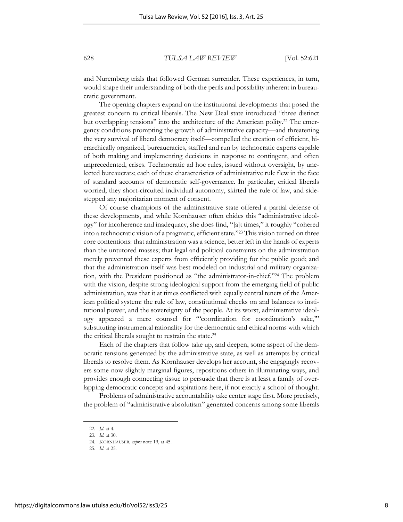and Nuremberg trials that followed German surrender. These experiences, in turn, would shape their understanding of both the perils and possibility inherent in bureaucratic government.

The opening chapters expand on the institutional developments that posed the greatest concern to critical liberals. The New Deal state introduced "three distinct but overlapping tensions" into the architecture of the American polity. 22 The emergency conditions prompting the growth of administrative capacity—and threatening the very survival of liberal democracy itself—compelled the creation of efficient, hierarchically organized, bureaucracies, staffed and run by technocratic experts capable of both making and implementing decisions in response to contingent, and often unprecedented, crises. Technocratic ad hoc rules, issued without oversight, by unelected bureaucrats; each of these characteristics of administrative rule flew in the face of standard accounts of democratic self-governance. In particular, critical liberals worried, they short-circuited individual autonomy, skirted the rule of law, and sidestepped any majoritarian moment of consent.

Of course champions of the administrative state offered a partial defense of these developments, and while Kornhauser often chides this "administrative ideology" for incoherence and inadequacy, she does find, "[a]t times," it roughly "cohered into a technocratic vision of a pragmatic, efficient state." <sup>23</sup> This vision turned on three core contentions: that administration was a science, better left in the hands of experts than the untutored masses; that legal and political constraints on the administration merely prevented these experts from efficiently providing for the public good; and that the administration itself was best modeled on industrial and military organization, with the President positioned as "the administrator-in-chief." <sup>24</sup> The problem with the vision, despite strong ideological support from the emerging field of public administration, was that it at times conflicted with equally central tenets of the American political system: the rule of law, constitutional checks on and balances to institutional power, and the sovereignty of the people. At its worst, administrative ideology appeared a mere counsel for "'coordination for coordination's sake,'" substituting instrumental rationality for the democratic and ethical norms with which the critical liberals sought to restrain the state.<sup>25</sup>

Each of the chapters that follow take up, and deepen, some aspect of the democratic tensions generated by the administrative state, as well as attempts by critical liberals to resolve them. As Kornhauser develops her account, she engagingly recovers some now slightly marginal figures, repositions others in illuminating ways, and provides enough connecting tissue to persuade that there is at least a family of overlapping democratic concepts and aspirations here, if not exactly a school of thought.

Problems of administrative accountability take center stage first. More precisely, the problem of "administrative absolutism" generated concerns among some liberals

<sup>22.</sup> *Id.* at 4.

<sup>23.</sup> *Id.* at 30.

<sup>24.</sup> KORNHAUSER*, supra* note 19, at 45.

<sup>25.</sup> *Id*. at 25.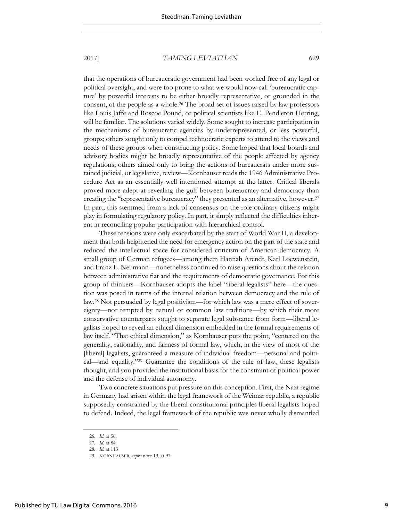that the operations of bureaucratic government had been worked free of any legal or political oversight, and were too prone to what we would now call 'bureaucratic capture' by powerful interests to be either broadly representative, or grounded in the consent, of the people as a whole.26 The broad set of issues raised by law professors like Louis Jaffe and Roscoe Pound, or political scientists like E. Pendleton Herring, will be familiar. The solutions varied widely. Some sought to increase participation in the mechanisms of bureaucratic agencies by underrepresented, or less powerful, groups; others sought only to compel technocratic experts to attend to the views and needs of these groups when constructing policy. Some hoped that local boards and advisory bodies might be broadly representative of the people affected by agency regulations; others aimed only to bring the actions of bureaucrats under more sustained judicial, or legislative, review—Kornhauser reads the 1946 Administrative Procedure Act as an essentially well intentioned attempt at the latter. Critical liberals proved more adept at revealing the gulf between bureaucracy and democracy than creating the "representative bureaucracy" they presented as an alternative, however.<sup>27</sup> In part, this stemmed from a lack of consensus on the role ordinary citizens might play in formulating regulatory policy. In part, it simply reflected the difficulties inherent in reconciling popular participation with hierarchical control.

These tensions were only exacerbated by the start of World War II, a development that both heightened the need for emergency action on the part of the state and reduced the intellectual space for considered criticism of American democracy. A small group of German refugees—among them Hannah Arendt, Karl Loewenstein, and Franz L. Neumann—nonetheless continued to raise questions about the relation between administrative fiat and the requirements of democratic governance. For this group of thinkers—Kornhauser adopts the label "liberal legalists" here—the question was posed in terms of the internal relation between democracy and the rule of law.<sup>28</sup> Not persuaded by legal positivism—for which law was a mere effect of sovereignty—nor tempted by natural or common law traditions—by which their more conservative counterparts sought to separate legal substance from form—liberal legalists hoped to reveal an ethical dimension embedded in the formal requirements of law itself. "That ethical dimension," as Kornhauser puts the point, "centered on the generality, rationality, and fairness of formal law, which, in the view of most of the [liberal] legalists, guaranteed a measure of individual freedom—personal and political—and equality." <sup>29</sup> Guarantee the conditions of the rule of law, these legalists thought, and you provided the institutional basis for the constraint of political power and the defense of individual autonomy.

Two concrete situations put pressure on this conception. First, the Nazi regime in Germany had arisen within the legal framework of the Weimar republic, a republic supposedly constrained by the liberal constitutional principles liberal legalists hoped to defend. Indeed, the legal framework of the republic was never wholly dismantled

<sup>26.</sup> *Id*. at 56.

<sup>27</sup>*. Id*. at 84.

<sup>28.</sup> *Id.* at 113

<sup>29.</sup> KORNHAUSER*, supra* note 19, at 97.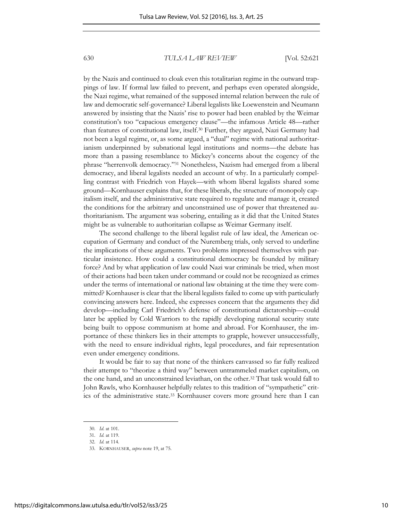by the Nazis and continued to cloak even this totalitarian regime in the outward trappings of law. If formal law failed to prevent, and perhaps even operated alongside, the Nazi regime, what remained of the supposed internal relation between the rule of law and democratic self-governance? Liberal legalists like Loewenstein and Neumann answered by insisting that the Nazis' rise to power had been enabled by the Weimar constitution's too "capacious emergency clause"—the infamous Article 48—rather than features of constitutional law, itself.30 Further, they argued, Nazi Germany had not been a legal regime, or, as some argued, a ''dual" regime with national authoritarianism underpinned by subnational legal institutions and norms—the debate has more than a passing resemblance to Mickey's concerns about the cogency of the phrase "herrenvolk democracy."31 Nonetheless, Nazism had emerged from a liberal democracy, and liberal legalists needed an account of why. In a particularly compelling contrast with Friedrich von Hayek—with whom liberal legalists shared some ground—Kornhauser explains that, for these liberals, the structure of monopoly capitalism itself, and the administrative state required to regulate and manage it, created the conditions for the arbitrary and unconstrained use of power that threatened authoritarianism. The argument was sobering, entailing as it did that the United States might be as vulnerable to authoritarian collapse as Weimar Germany itself.

The second challenge to the liberal legalist rule of law ideal, the American occupation of Germany and conduct of the Nuremberg trials, only served to underline the implications of these arguments. Two problems impressed themselves with particular insistence. How could a constitutional democracy be founded by military force? And by what application of law could Nazi war criminals be tried, when most of their actions had been taken under command or could not be recognized as crimes under the terms of international or national law obtaining at the time they were committed? Kornhauser is clear that the liberal legalists failed to come up with particularly convincing answers here. Indeed, she expresses concern that the arguments they did develop—including Carl Friedrich's defense of constitutional dictatorship—could later be applied by Cold Warriors to the rapidly developing national security state being built to oppose communism at home and abroad. For Kornhauser, the importance of these thinkers lies in their attempts to grapple, however unsuccessfully, with the need to ensure individual rights, legal procedures, and fair representation even under emergency conditions.

It would be fair to say that none of the thinkers canvassed so far fully realized their attempt to "theorize a third way" between untrammeled market capitalism, on the one hand, and an unconstrained leviathan, on the other.32 That task would fall to John Rawls, who Kornhauser helpfully relates to this tradition of "sympathetic" critics of the administrative state.33 Kornhauser covers more ground here than I can

<sup>30.</sup> *Id*. at 101.

<sup>31.</sup> *Id.* at 119.

<sup>32.</sup> *Id.* at 114.

<sup>33.</sup> KORNHAUSER, *supra* note 19, at 75.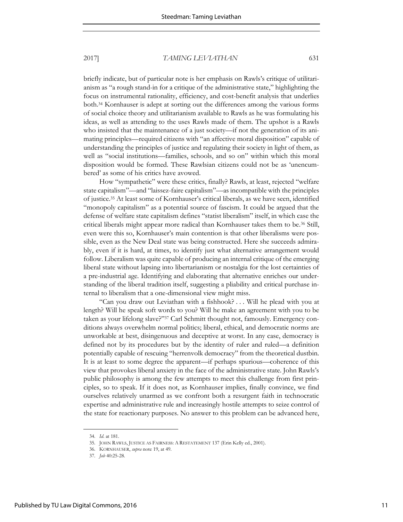briefly indicate, but of particular note is her emphasis on Rawls's critique of utilitarianism as "a rough stand-in for a critique of the administrative state," highlighting the focus on instrumental rationality, efficiency, and cost-benefit analysis that underlies both. <sup>34</sup> Kornhauser is adept at sorting out the differences among the various forms of social choice theory and utilitarianism available to Rawls as he was formulating his ideas, as well as attending to the uses Rawls made of them. The upshot is a Rawls who insisted that the maintenance of a just society—if not the generation of its animating principles—required citizens with "an affective moral disposition" capable of understanding the principles of justice and regulating their society in light of them, as well as "social institutions—families, schools, and so on" within which this moral disposition would be formed. These Rawlsian citizens could not be as 'unencumbered' as some of his critics have avowed.

How "sympathetic" were these critics, finally? Rawls, at least, rejected "welfare state capitalism"—and "laissez-faire capitalism"—as incompatible with the principles of justice.<sup>35</sup> At least some of Kornhauser's critical liberals, as we have seen, identified "monopoly capitalism" as a potential source of fascism. It could be argued that the defense of welfare state capitalism defines "statist liberalism" itself, in which case the critical liberals might appear more radical than Kornhauser takes them to be.36 Still, even were this so, Kornhauser's main contention is that other liberalisms were possible, even as the New Deal state was being constructed. Here she succeeds admirably, even if it is hard, at times, to identify just what alternative arrangement would follow. Liberalism was quite capable of producing an internal critique of the emerging liberal state without lapsing into libertarianism or nostalgia for the lost certainties of a pre-industrial age. Identifying and elaborating that alternative enriches our understanding of the liberal tradition itself, suggesting a pliability and critical purchase internal to liberalism that a one-dimensional view might miss.

"Can you draw out Leviathan with a fishhook? . . . Will he plead with you at length? Will he speak soft words to you? Will he make an agreement with you to be taken as your lifelong slave?"<sup>37</sup> Carl Schmitt thought not, famously. Emergency conditions always overwhelm normal politics; liberal, ethical, and democratic norms are unworkable at best, disingenuous and deceptive at worst. In any case, democracy is defined not by its procedures but by the identity of ruler and ruled—a definition potentially capable of rescuing "herrenvolk democracy" from the theoretical dustbin. It is at least to some degree the apparent—if perhaps spurious—coherence of this view that provokes liberal anxiety in the face of the administrative state. John Rawls's public philosophy is among the few attempts to meet this challenge from first principles, so to speak. If it does not, as Kornhauser implies, finally convince, we find ourselves relatively unarmed as we confront both a resurgent faith in technocratic expertise and administrative rule and increasingly hostile attempts to seize control of the state for reactionary purposes. No answer to this problem can be advanced here,

<sup>34.</sup> *Id*. at 181.

<sup>35.</sup> JOHN RAWLS, JUSTICE AS FAIRNESS: A RESTATEMENT 137 (Erin Kelly ed., 2001).

<sup>36.</sup> KORNHAUSER, *supra* note 19, at 49.

<sup>37.</sup> *Job* 40:25-28.